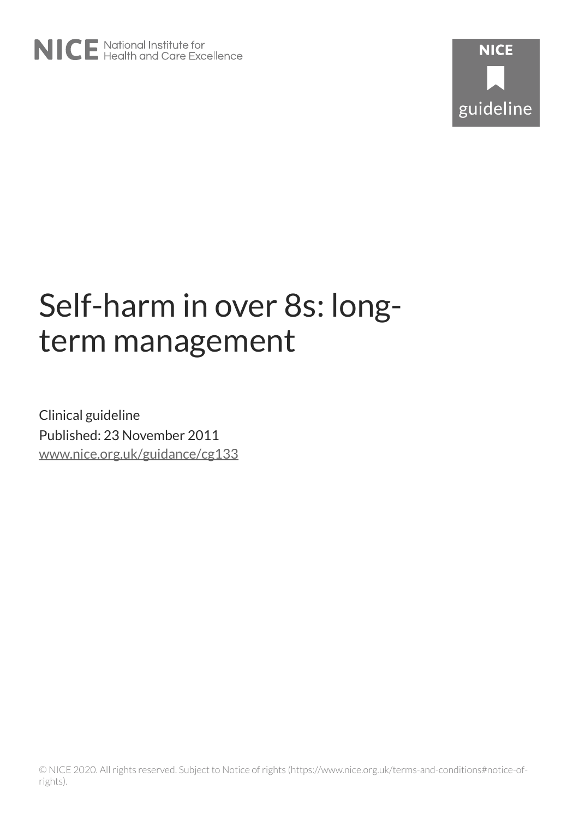# Self-harm in over 8s: longterm management

Clinical guideline Published: 23 November 2011 [www.nice.org.uk/guidance/cg133](https://www.nice.org.uk/guidance/cg133)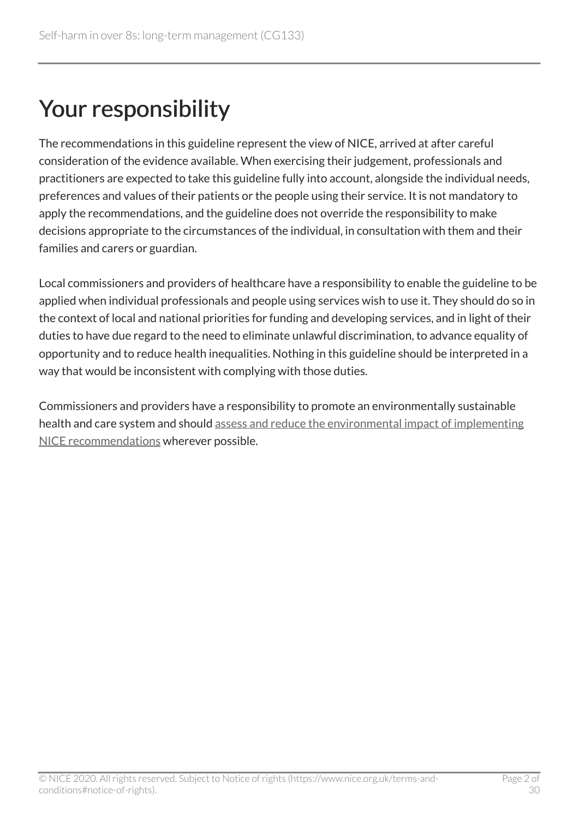# Your responsibility

The recommendations in this guideline represent the view of NICE, arrived at after careful consideration of the evidence available. When exercising their judgement, professionals and practitioners are expected to take this guideline fully into account, alongside the individual needs, preferences and values of their patients or the people using their service. It is not mandatory to apply the recommendations, and the guideline does not override the responsibility to make decisions appropriate to the circumstances of the individual, in consultation with them and their families and carers or guardian.

Local commissioners and providers of healthcare have a responsibility to enable the guideline to be applied when individual professionals and people using services wish to use it. They should do so in the context of local and national priorities for funding and developing services, and in light of their duties to have due regard to the need to eliminate unlawful discrimination, to advance equality of opportunity and to reduce health inequalities. Nothing in this guideline should be interpreted in a way that would be inconsistent with complying with those duties.

Commissioners and providers have a responsibility to promote an environmentally sustainable health and care system and should [assess and reduce the environmental impact of implementing](https://www.nice.org.uk/about/who-we-are/sustainability)  [NICE recommendations](https://www.nice.org.uk/about/who-we-are/sustainability) wherever possible.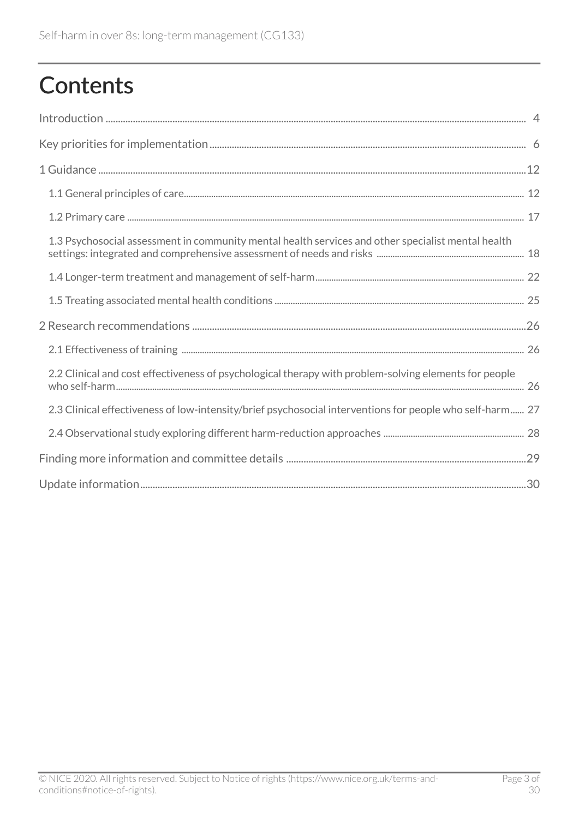# **Contents**

| 1.3 Psychosocial assessment in community mental health services and other specialist mental health       |
|----------------------------------------------------------------------------------------------------------|
|                                                                                                          |
|                                                                                                          |
|                                                                                                          |
|                                                                                                          |
| 2.2 Clinical and cost effectiveness of psychological therapy with problem-solving elements for people    |
| 2.3 Clinical effectiveness of low-intensity/brief psychosocial interventions for people who self-harm 27 |
|                                                                                                          |
|                                                                                                          |
|                                                                                                          |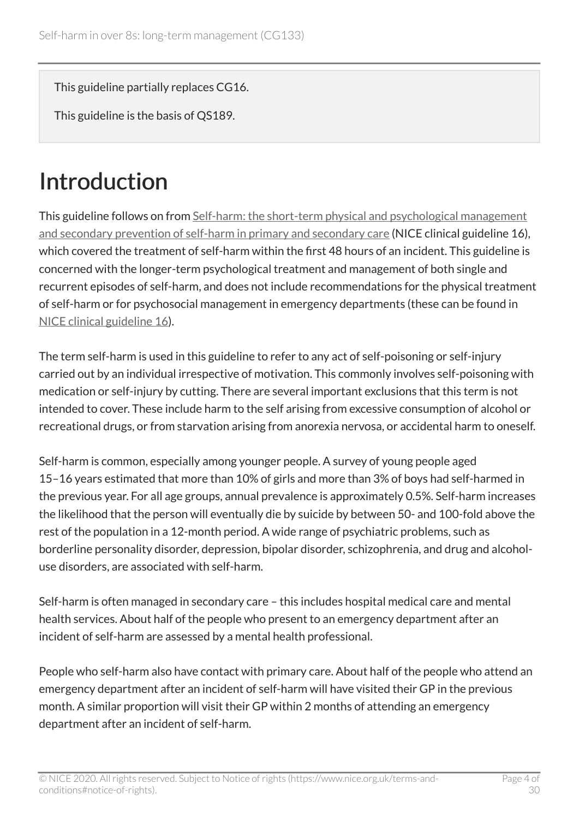This guideline partially replaces CG16.

This guideline is the basis of QS189.

# <span id="page-3-0"></span>Introduction

This guideline follows on from [Self-harm: the short-term physical and psychological management](https://www.nice.org.uk/guidance/cg16) [and secondary prevention of self-harm in primary and secondary care](https://www.nice.org.uk/guidance/cg16) (NICE clinical guideline 16), which covered the treatment of self-harm within the first 48 hours of an incident. This guideline is concerned with the longer-term psychological treatment and management of both single and recurrent episodes of self-harm, and does not include recommendations for the physical treatment of self-harm or for psychosocial management in emergency departments (these can be found in [NICE clinical guideline 16](https://www.nice.org.uk/guidance/cg16)).

The term self-harm is used in this guideline to refer to any act of self-poisoning or self-injury carried out by an individual irrespective of motivation. This commonly involves self-poisoning with medication or self-injury by cutting. There are several important exclusions that this term is not intended to cover. These include harm to the self arising from excessive consumption of alcohol or recreational drugs, or from starvation arising from anorexia nervosa, or accidental harm to oneself.

Self-harm is common, especially among younger people. A survey of young people aged 15–16 years estimated that more than 10% of girls and more than 3% of boys had self-harmed in the previous year. For all age groups, annual prevalence is approximately 0.5%. Self-harm increases the likelihood that the person will eventually die by suicide by between 50- and 100-fold above the rest of the population in a 12-month period. A wide range of psychiatric problems, such as borderline personality disorder, depression, bipolar disorder, schizophrenia, and drug and alcoholuse disorders, are associated with self-harm.

Self-harm is often managed in secondary care – this includes hospital medical care and mental health services. About half of the people who present to an emergency department after an incident of self-harm are assessed by a mental health professional.

People who self-harm also have contact with primary care. About half of the people who attend an emergency department after an incident of self-harm will have visited their GP in the previous month. A similar proportion will visit their GP within 2 months of attending an emergency department after an incident of self-harm.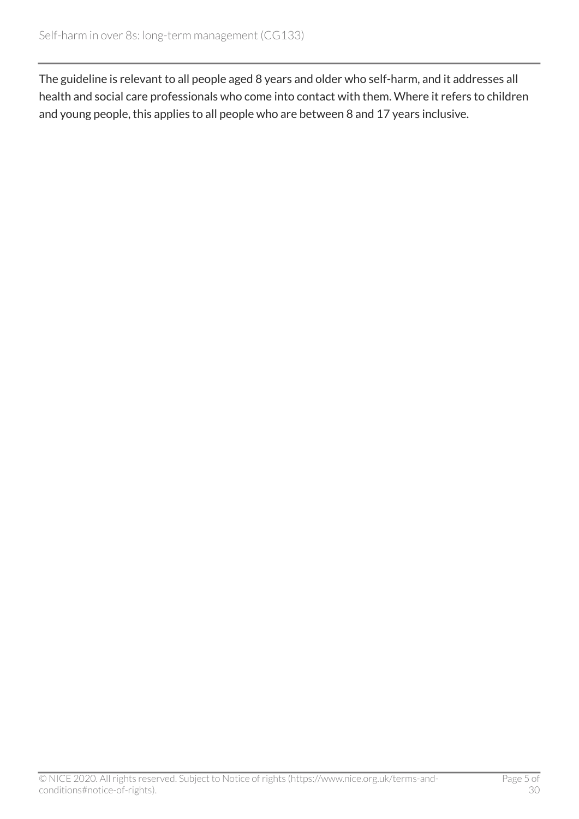The guideline is relevant to all people aged 8 years and older who self-harm, and it addresses all health and social care professionals who come into contact with them. Where it refers to children and young people, this applies to all people who are between 8 and 17 years inclusive.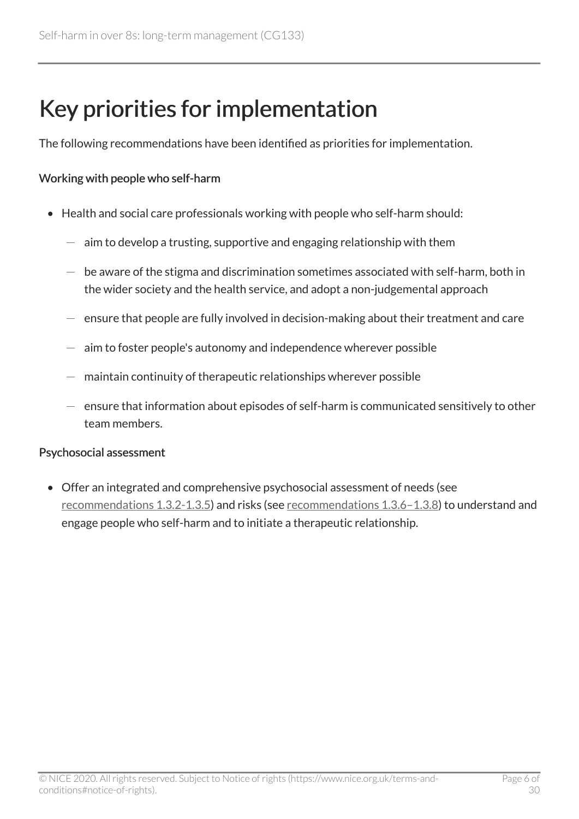## <span id="page-5-0"></span>Key priorities for implementation

The following recommendations have been identified as priorities for implementation.

#### Working with people who self-harm

- Health and social care professionals working with people who self-harm should:
	- aim to develop a trusting, supportive and engaging relationship with them
	- be aware of the stigma and discrimination sometimes associated with self-harm, both in the wider society and the health service, and adopt a non-judgemental approach
	- ensure that people are fully involved in decision-making about their treatment and care
	- aim to foster people's autonomy and independence wherever possible
	- maintain continuity of therapeutic relationships wherever possible
	- $-$  ensure that information about episodes of self-harm is communicated sensitively to other team members.

#### Psychosocial assessment

• Offer an integrated and comprehensive psychosocial assessment of needs (see [recommendations 1.3.2-1.3.5\)](http://www.nice.org.uk/guidance/cg133/chapter/guidance#psychosocial-assessment-in-community-mental-health-services-and-other-specialist-mental-health) and risks (see [recommendations 1.3.6–1.3.8\)](http://www.nice.org.uk/guidance/cg133/chapter/guidance#psychosocial-assessment-in-community-mental-health-services-and-other-specialist-mental-health) to understand and engage people who self-harm and to initiate a therapeutic relationship.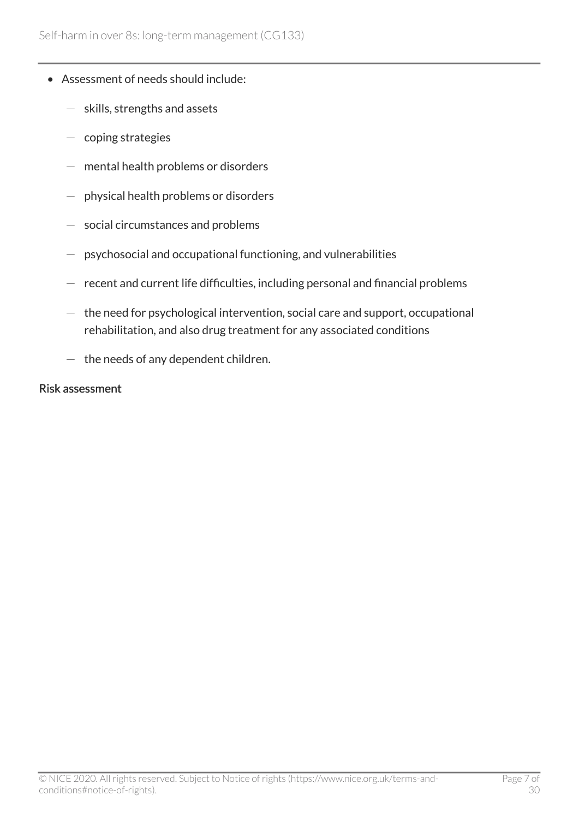- Assessment of needs should include:
	- skills, strengths and assets
	- coping strategies
	- $-$  mental health problems or disorders
	- physical health problems or disorders
	- social circumstances and problems
	- psychosocial and occupational functioning, and vulnerabilities
	- $-$  recent and current life difficulties, including personal and financial problems
	- $-$  the need for psychological intervention, social care and support, occupational rehabilitation, and also drug treatment for any associated conditions
	- $-$  the needs of any dependent children.

#### Risk assessment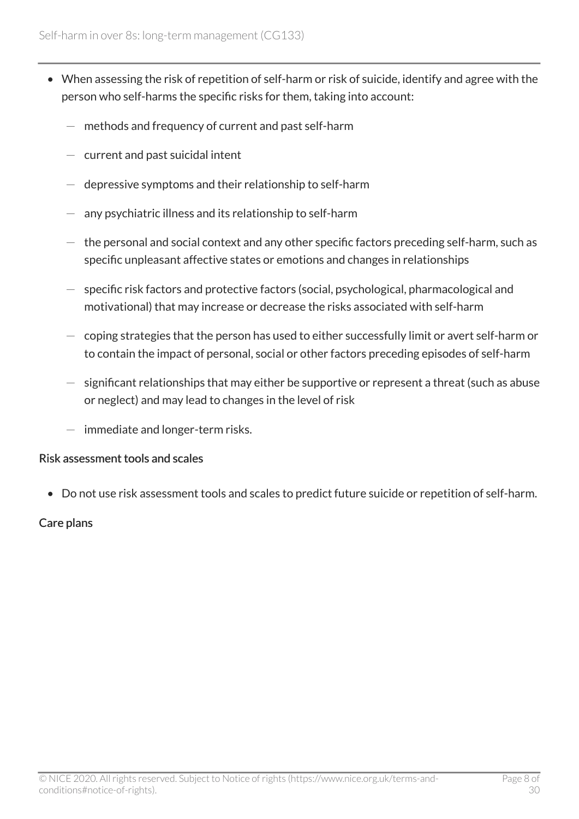- When assessing the risk of repetition of self-harm or risk of suicide, identify and agree with the person who self-harms the specific risks for them, taking into account:
	- methods and frequency of current and past self-harm
	- $-$  current and past suicidal intent
	- depressive symptoms and their relationship to self-harm
	- any psychiatric illness and its relationship to self-harm
	- $-$  the personal and social context and any other specific factors preceding self-harm, such as specific unpleasant affective states or emotions and changes in relationships
	- specific risk factors and protective factors (social, psychological, pharmacological and motivational) that may increase or decrease the risks associated with self-harm
	- $-$  coping strategies that the person has used to either successfully limit or avert self-harm or to contain the impact of personal, social or other factors preceding episodes of self-harm
	- significant relationships that may either be supportive or represent a threat (such as abuse or neglect) and may lead to changes in the level of risk
	- $-$  immediate and longer-term risks.

#### Risk assessment tools and scales

• Do not use risk assessment tools and scales to predict future suicide or repetition of self-harm.

#### Care plans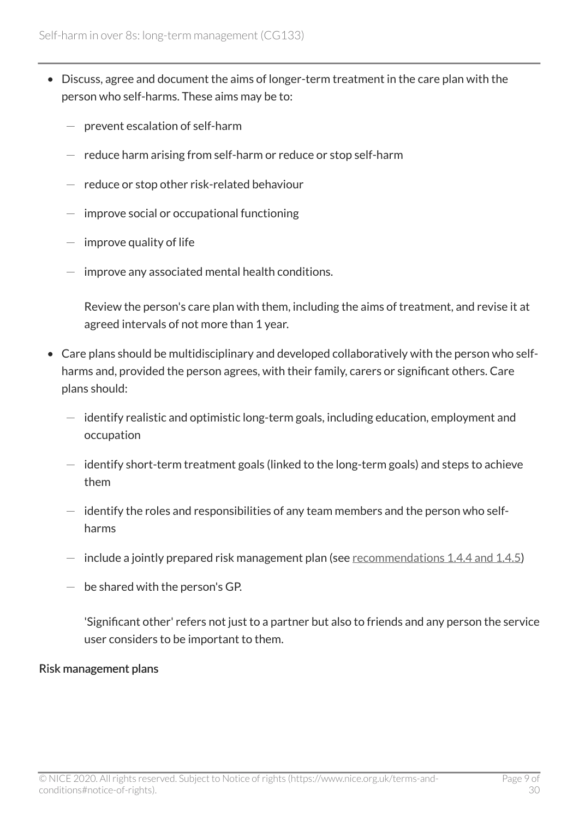- Discuss, agree and document the aims of longer-term treatment in the care plan with the person who self-harms. These aims may be to:
	- prevent escalation of self-harm
	- $-$  reduce harm arising from self-harm or reduce or stop self-harm
	- reduce or stop other risk-related behaviour
	- improve social or occupational functioning
	- $-$  improve quality of life
	- improve any associated mental health conditions.

Review the person's care plan with them, including the aims of treatment, and revise it at agreed intervals of not more than 1 year.

- Care plans should be multidisciplinary and developed collaboratively with the person who selfharms and, provided the person agrees, with their family, carers or significant others. Care plans should:
	- $-$  identify realistic and optimistic long-term goals, including education, employment and occupation
	- $-$  identify short-term treatment goals (linked to the long-term goals) and steps to achieve them
	- $-$  identify the roles and responsibilities of any team members and the person who selfharms
	- $-$  include a jointly prepared risk management plan (see [recommendations 1.4.4 and 1.4.5\)](http://www.nice.org.uk/guidance/cg133/chapter/guidance#longer-term-treatment-and-management-of-self-harm)
	- $-$  be shared with the person's GP.

'Significant other' refers not just to a partner but also to friends and any person the service user considers to be important to them.

#### Risk management plans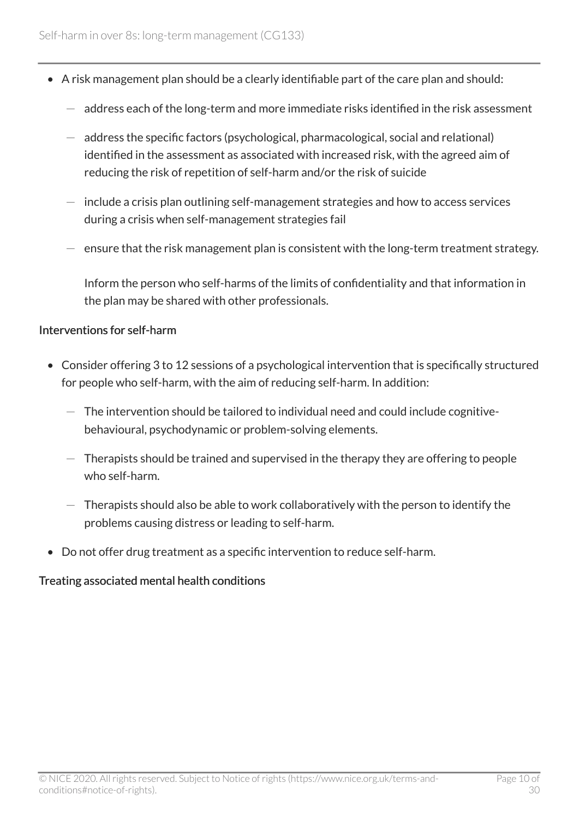- A risk management plan should be a clearly identifiable part of the care plan and should:
	- address each of the long-term and more immediate risks identified in the risk assessment
	- address the specific factors (psychological, pharmacological, social and relational) identified in the assessment as associated with increased risk, with the agreed aim of reducing the risk of repetition of self-harm and/or the risk of suicide
	- $-$  include a crisis plan outlining self-management strategies and how to access services during a crisis when self-management strategies fail
	- ensure that the risk management plan is consistent with the long-term treatment strategy.

Inform the person who self-harms of the limits of confidentiality and that information in the plan may be shared with other professionals.

#### Interventions for self-harm

- Consider offering 3 to 12 sessions of a psychological intervention that is specifically structured for people who self-harm, with the aim of reducing self-harm. In addition:
	- $-$  The intervention should be tailored to individual need and could include cognitivebehavioural, psychodynamic or problem-solving elements.
	- $-$  Therapists should be trained and supervised in the therapy they are offering to people who self-harm.
	- $-$  Therapists should also be able to work collaboratively with the person to identify the problems causing distress or leading to self-harm.
- Do not offer drug treatment as a specific intervention to reduce self-harm.

#### Treating associated mental health conditions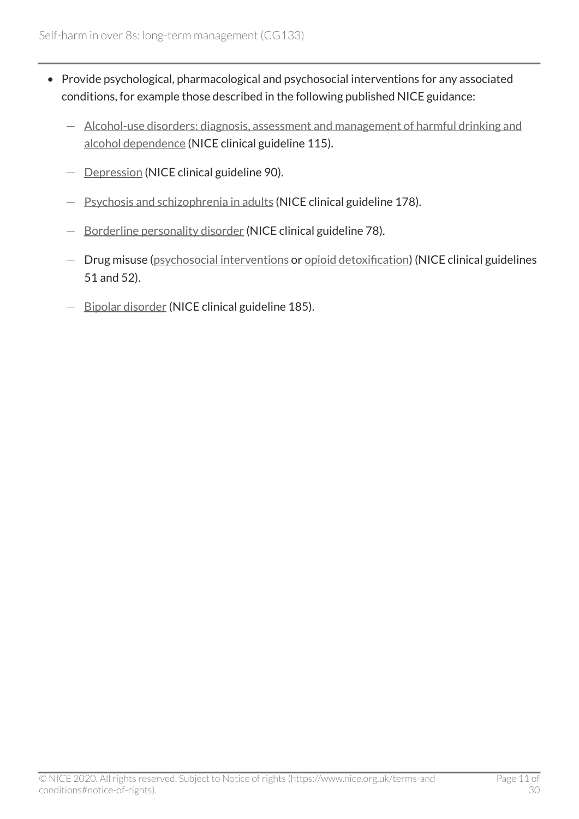- Provide psychological, pharmacological and psychosocial interventions for any associated conditions, for example those described in the following published NICE guidance:
	- [Alcohol-use disorders: diagnosis, assessment and management of harmful drinking and](https://www.nice.org.uk/guidance/cg115)  [alcohol dependence](https://www.nice.org.uk/guidance/cg115) (NICE clinical guideline 115).
	- [Depression](https://www.nice.org.uk/guidance/cg90) (NICE clinical guideline 90).
	- [Psychosis and schizophrenia in adults](https://www.nice.org.uk/guidance/cg178) (NICE clinical guideline 178).
	- [Borderline personality disorder](https://www.nice.org.uk/guidance/cg78) (NICE clinical guideline 78).
	- Drug misuse ([psychosocial interventions](https://www.nice.org.uk/guidance/cg51) or [opioid detoxification\)](https://www.nice.org.uk/guidance/cg52) (NICE clinical guidelines 51 and 52).
	- [Bipolar disorder](https://www.nice.org.uk/guidance/cg185) (NICE clinical guideline 185).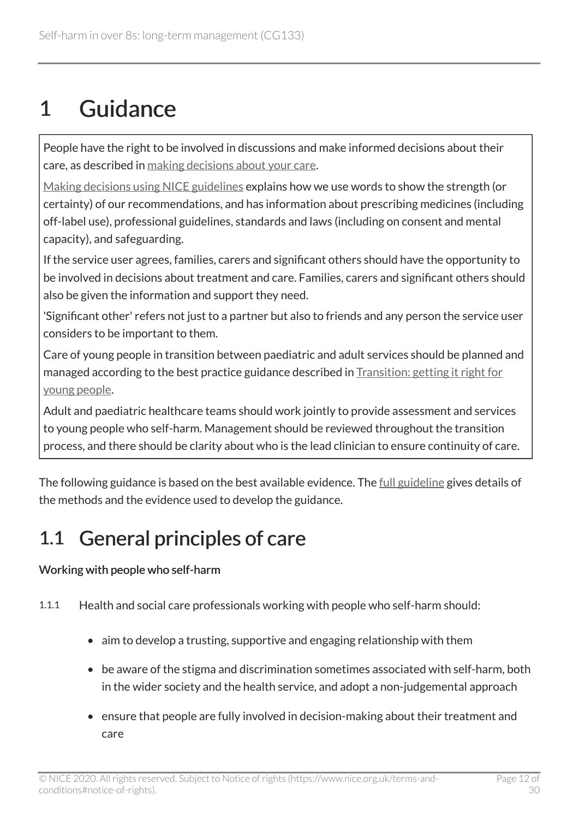# <span id="page-11-0"></span>1 Guidance

People have the right to be involved in discussions and make informed decisions about their care, as described in [making decisions about your care](https://www.nice.org.uk/about/nice-communities/nice-and-the-public/making-decisions-about-your-care).

[Making decisions using NICE guidelines](https://www.nice.org.uk/about/what-we-do/our-programmes/nice-guidance/nice-guidelines/making-decisions-using-nice-guidelines) explains how we use words to show the strength (or certainty) of our recommendations, and has information about prescribing medicines (including off-label use), professional guidelines, standards and laws (including on consent and mental capacity), and safeguarding.

If the service user agrees, families, carers and significant others should have the opportunity to be involved in decisions about treatment and care. Families, carers and significant others should also be given the information and support they need.

'Significant other' refers not just to a partner but also to friends and any person the service user considers to be important to them.

Care of young people in transition between paediatric and adult services should be planned and managed according to the best practice guidance described in [Transition: getting it right for](http://www.dh.gov.uk/en/Publicationsandstatistics/Publications/PublicationsPolicyAndGuidance/DH_4132145) [young people.](http://www.dh.gov.uk/en/Publicationsandstatistics/Publications/PublicationsPolicyAndGuidance/DH_4132145)

Adult and paediatric healthcare teams should work jointly to provide assessment and services to young people who self-harm. Management should be reviewed throughout the transition process, and there should be clarity about who is the lead clinician to ensure continuity of care.

The following guidance is based on the best available evidence. The [full guideline](http://www.nice.org.uk/guidance/CG133/evidence) gives details of the methods and the evidence used to develop the guidance.

### <span id="page-11-1"></span>1.1 General principles of care

#### Working with people who self-harm

1.1.1 Health and social care professionals working with people who self-harm should:

- aim to develop a trusting, supportive and engaging relationship with them
- be aware of the stigma and discrimination sometimes associated with self-harm, both in the wider society and the health service, and adopt a non-judgemental approach
- ensure that people are fully involved in decision-making about their treatment and care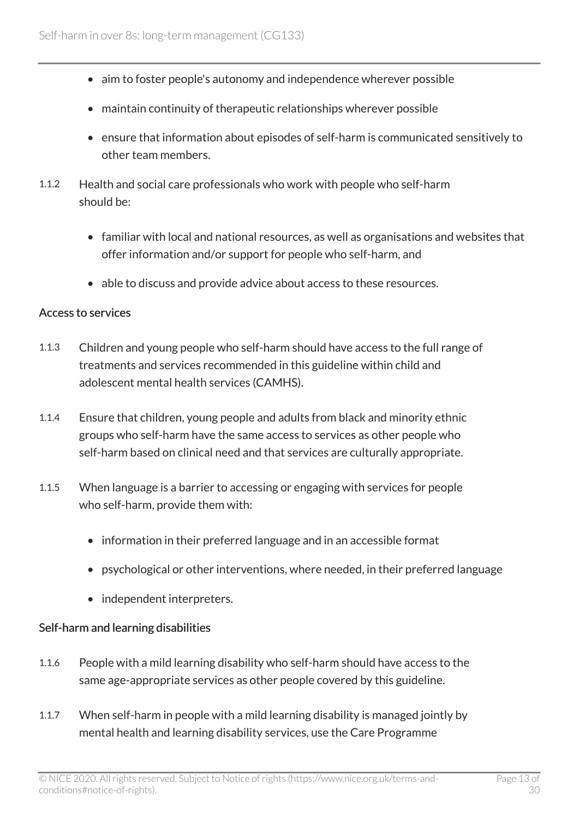- aim to foster people's autonomy and independence wherever possible
- maintain continuity of therapeutic relationships wherever possible
- ensure that information about episodes of self-harm is communicated sensitively to other team members.
- 1.1.2 Health and social care professionals who work with people who self-harm should be:
	- familiar with local and national resources, as well as organisations and websites that offer information and/or support for people who self-harm, and
	- able to discuss and provide advice about access to these resources.

#### Access to services

- 1.1.3 Children and young people who self-harm should have access to the full range of treatments and services recommended in this guideline within child and adolescent mental health services (CAMHS).
- 1.1.4 Ensure that children, young people and adults from black and minority ethnic groups who self-harm have the same access to services as other people who self-harm based on clinical need and that services are culturally appropriate.
- 1.1.5 When language is a barrier to accessing or engaging with services for people who self-harm, provide them with:
	- information in their preferred language and in an accessible format
	- psychological or other interventions, where needed, in their preferred language
	- independent interpreters.

#### Self-harm and learning disabilities

- 1.1.6 People with a mild learning disability who self-harm should have access to the same age-appropriate services as other people covered by this guideline.
- 1.1.7 When self-harm in people with a mild learning disability is managed jointly by mental health and learning disability services, use the Care Programme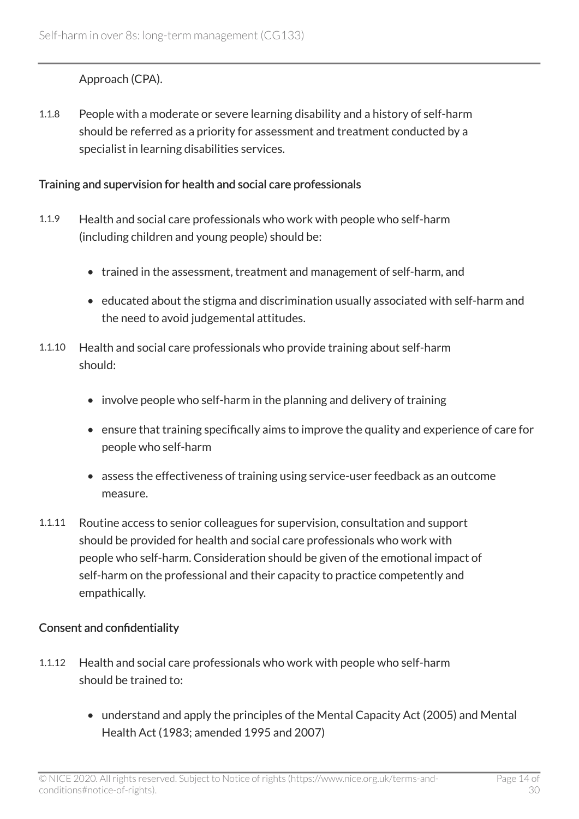#### Approach (CPA).

1.1.8 People with a moderate or severe learning disability and a history of self-harm should be referred as a priority for assessment and treatment conducted by a specialist in learning disabilities services.

#### Training and supervision for health and social care professionals

- 1.1.9 Health and social care professionals who work with people who self-harm (including children and young people) should be:
	- trained in the assessment, treatment and management of self-harm, and
	- educated about the stigma and discrimination usually associated with self-harm and the need to avoid judgemental attitudes.
- 1.1.10 Health and social care professionals who provide training about self-harm should:
	- involve people who self-harm in the planning and delivery of training
	- ensure that training specifically aims to improve the quality and experience of care for people who self-harm
	- assess the effectiveness of training using service-user feedback as an outcome measure.
- 1.1.11 Routine access to senior colleagues for supervision, consultation and support should be provided for health and social care professionals who work with people who self-harm. Consideration should be given of the emotional impact of self-harm on the professional and their capacity to practice competently and empathically.

#### Consent and confidentiality

- 1.1.12 Health and social care professionals who work with people who self-harm should be trained to:
	- understand and apply the principles of the Mental Capacity Act (2005) and Mental Health Act (1983; amended 1995 and 2007)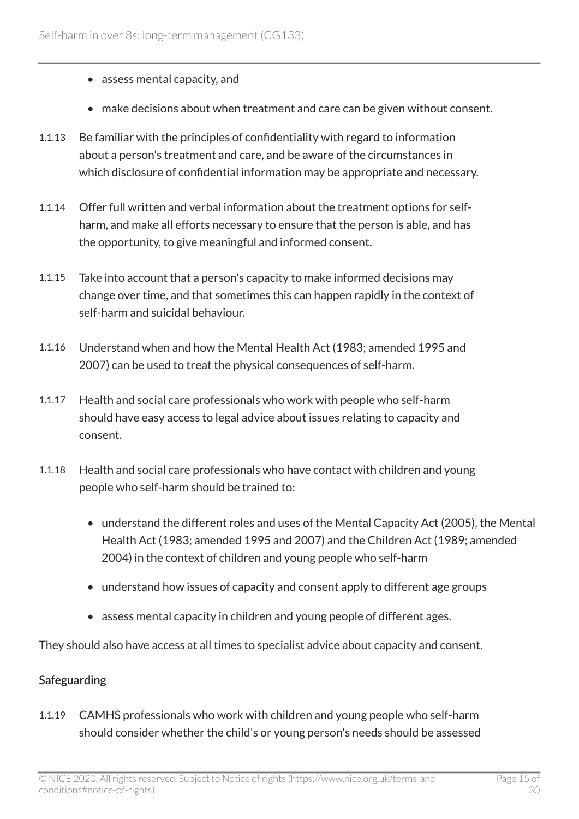- assess mental capacity, and
- make decisions about when treatment and care can be given without consent.
- 1.1.13 Be familiar with the principles of confidentiality with regard to information about a person's treatment and care, and be aware of the circumstances in which disclosure of confidential information may be appropriate and necessary.
- 1.1.14 Offer full written and verbal information about the treatment options for selfharm, and make all efforts necessary to ensure that the person is able, and has the opportunity, to give meaningful and informed consent.
- 1.1.15 Take into account that a person's capacity to make informed decisions may change over time, and that sometimes this can happen rapidly in the context of self-harm and suicidal behaviour.
- 1.1.16 Understand when and how the Mental Health Act (1983; amended 1995 and 2007) can be used to treat the physical consequences of self-harm.
- 1.1.17 Health and social care professionals who work with people who self-harm should have easy access to legal advice about issues relating to capacity and consent.
- 1.1.18 Health and social care professionals who have contact with children and young people who self-harm should be trained to:
	- understand the different roles and uses of the Mental Capacity Act (2005), the Mental Health Act (1983; amended 1995 and 2007) and the Children Act (1989; amended 2004) in the context of children and young people who self-harm
	- understand how issues of capacity and consent apply to different age groups
	- assess mental capacity in children and young people of different ages.

They should also have access at all times to specialist advice about capacity and consent.

#### Safeguarding

1.1.19 CAMHS professionals who work with children and young people who self-harm should consider whether the child's or young person's needs should be assessed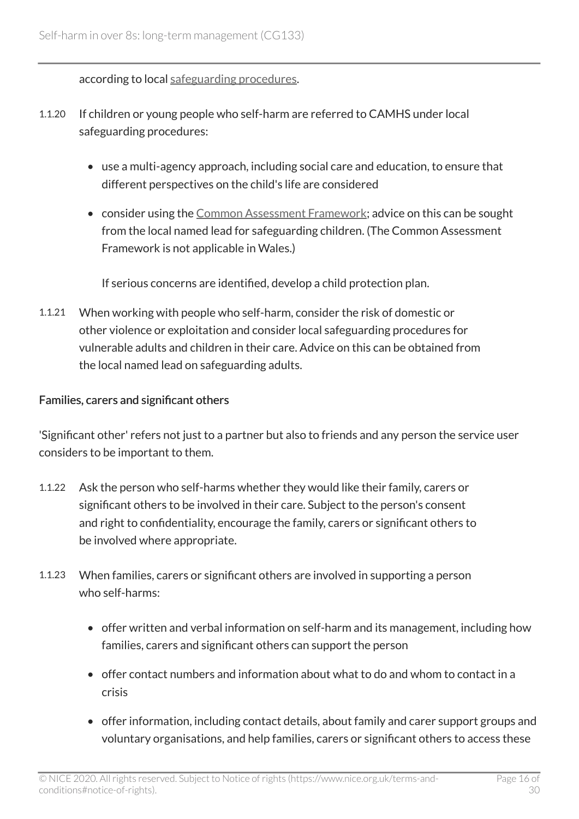according to local [safeguarding procedures](http://www.safeguardingchildren.org.uk/).

- 1.1.20 If children or young people who self-harm are referred to CAMHS under local safeguarding procedures:
	- use a multi-agency approach, including social care and education, to ensure that different perspectives on the child's life are considered
	- consider using the [Common Assessment Framework](http://www.cwdcouncil.org.uk/caf); advice on this can be sought from the local named lead for safeguarding children. (The Common Assessment Framework is not applicable in Wales.)

If serious concerns are identified, develop a child protection plan.

1.1.21 When working with people who self-harm, consider the risk of domestic or other violence or exploitation and consider local safeguarding procedures for vulnerable adults and children in their care. Advice on this can be obtained from the local named lead on safeguarding adults.

#### Families, carers and significant others

'Significant other' refers not just to a partner but also to friends and any person the service user considers to be important to them.

- 1.1.22 Ask the person who self-harms whether they would like their family, carers or significant others to be involved in their care. Subject to the person's consent and right to confidentiality, encourage the family, carers or significant others to be involved where appropriate.
- 1.1.23 When families, carers or significant others are involved in supporting a person who self-harms:
	- offer written and verbal information on self-harm and its management, including how families, carers and significant others can support the person
	- offer contact numbers and information about what to do and whom to contact in a crisis
	- offer information, including contact details, about family and carer support groups and voluntary organisations, and help families, carers or significant others to access these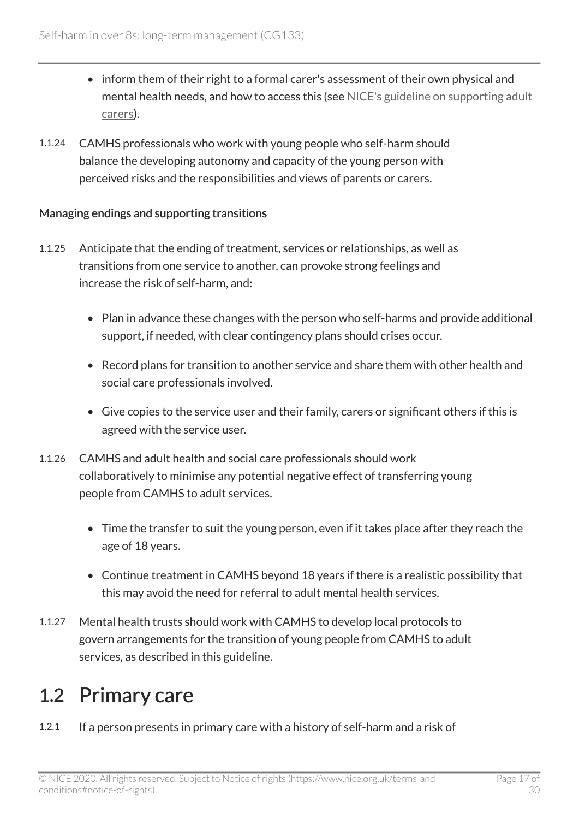- inform them of their right to a formal carer's assessment of their own physical and mental health needs, and how to access this (see [NICE's guideline on supporting adult](https://www.nice.org.uk/guidance/ng150) [carers](https://www.nice.org.uk/guidance/ng150)).
- 1.1.24 CAMHS professionals who work with young people who self-harm should balance the developing autonomy and capacity of the young person with perceived risks and the responsibilities and views of parents or carers.

#### Managing endings and supporting transitions

- 1.1.25 Anticipate that the ending of treatment, services or relationships, as well as transitions from one service to another, can provoke strong feelings and increase the risk of self-harm, and:
	- Plan in advance these changes with the person who self-harms and provide additional support, if needed, with clear contingency plans should crises occur.
	- Record plans for transition to another service and share them with other health and social care professionals involved.
	- Give copies to the service user and their family, carers or significant others if this is agreed with the service user.
- 1.1.26 CAMHS and adult health and social care professionals should work collaboratively to minimise any potential negative effect of transferring young people from CAMHS to adult services.
	- Time the transfer to suit the young person, even if it takes place after they reach the age of 18 years.
	- Continue treatment in CAMHS beyond 18 years if there is a realistic possibility that this may avoid the need for referral to adult mental health services.
- 1.1.27 Mental health trusts should work with CAMHS to develop local protocols to govern arrangements for the transition of young people from CAMHS to adult services, as described in this guideline.

### <span id="page-16-0"></span>1.2 Primary care

1.2.1 If a person presents in primary care with a history of self-harm and a risk of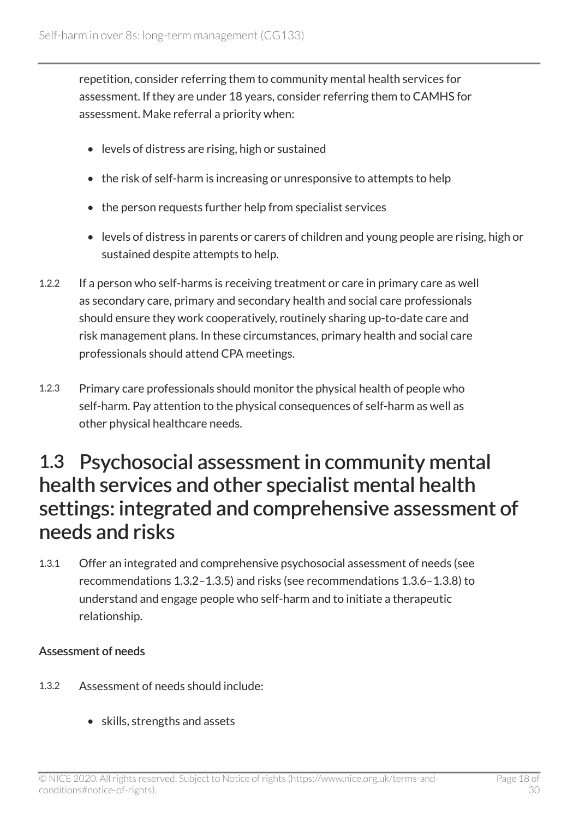repetition, consider referring them to community mental health services for assessment. If they are under 18 years, consider referring them to CAMHS for assessment. Make referral a priority when:

- levels of distress are rising, high or sustained
- the risk of self-harm is increasing or unresponsive to attempts to help
- the person requests further help from specialist services
- levels of distress in parents or carers of children and young people are rising, high or sustained despite attempts to help.
- 1.2.2 If a person who self-harms is receiving treatment or care in primary care as well as secondary care, primary and secondary health and social care professionals should ensure they work cooperatively, routinely sharing up-to-date care and risk management plans. In these circumstances, primary health and social care professionals should attend CPA meetings.
- 1.2.3 Primary care professionals should monitor the physical health of people who self-harm. Pay attention to the physical consequences of self-harm as well as other physical healthcare needs.

### <span id="page-17-0"></span>1.3 Psychosocial assessment in community mental health services and other specialist mental health settings: integrated and comprehensive assessment of needs and risks

1.3.1 Offer an integrated and comprehensive psychosocial assessment of needs (see recommendations 1.3.2–1.3.5) and risks (see recommendations 1.3.6–1.3.8) to understand and engage people who self-harm and to initiate a therapeutic relationship.

#### Assessment of needs

- 1.3.2 Assessment of needs should include:
	- skills, strengths and assets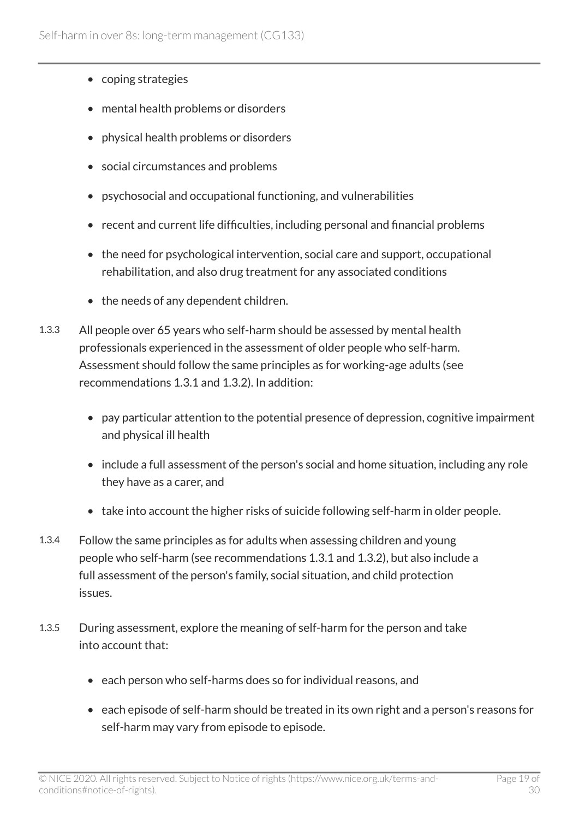- coping strategies
- mental health problems or disorders
- physical health problems or disorders
- social circumstances and problems
- psychosocial and occupational functioning, and vulnerabilities
- recent and current life difficulties, including personal and financial problems
- the need for psychological intervention, social care and support, occupational rehabilitation, and also drug treatment for any associated conditions
- the needs of any dependent children.
- 1.3.3 All people over 65 years who self-harm should be assessed by mental health professionals experienced in the assessment of older people who self-harm. Assessment should follow the same principles as for working-age adults (see recommendations 1.3.1 and 1.3.2). In addition:
	- pay particular attention to the potential presence of depression, cognitive impairment and physical ill health
	- include a full assessment of the person's social and home situation, including any role they have as a carer, and
	- take into account the higher risks of suicide following self-harm in older people.
- 1.3.4 Follow the same principles as for adults when assessing children and young people who self-harm (see recommendations 1.3.1 and 1.3.2), but also include a full assessment of the person's family, social situation, and child protection issues.
- 1.3.5 During assessment, explore the meaning of self-harm for the person and take into account that:
	- each person who self-harms does so for individual reasons, and
	- each episode of self-harm should be treated in its own right and a person's reasons for self-harm may vary from episode to episode.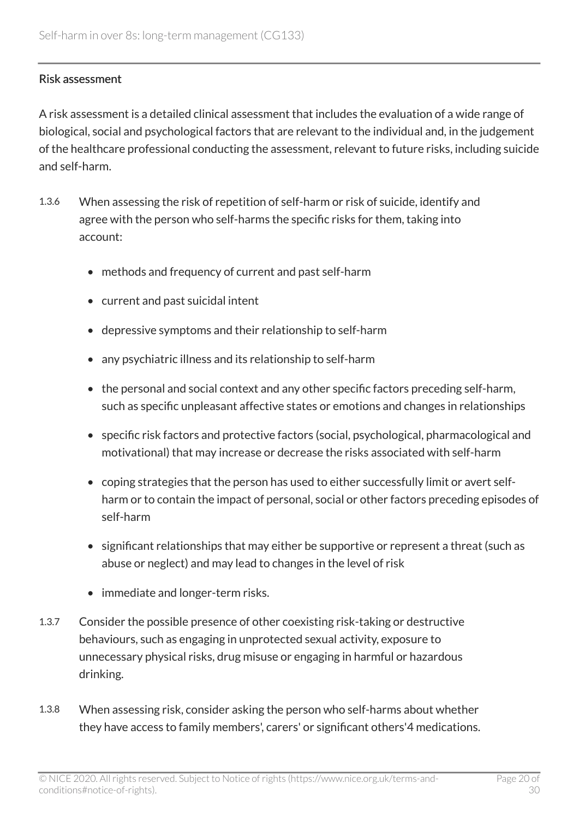#### Risk assessment

A risk assessment is a detailed clinical assessment that includes the evaluation of a wide range of biological, social and psychological factors that are relevant to the individual and, in the judgement of the healthcare professional conducting the assessment, relevant to future risks, including suicide and self-harm.

- 1.3.6 When assessing the risk of repetition of self-harm or risk of suicide, identify and agree with the person who self-harms the specific risks for them, taking into account:
	- methods and frequency of current and past self-harm
	- current and past suicidal intent
	- depressive symptoms and their relationship to self-harm
	- any psychiatric illness and its relationship to self-harm
	- the personal and social context and any other specific factors preceding self-harm, such as specific unpleasant affective states or emotions and changes in relationships
	- specific risk factors and protective factors (social, psychological, pharmacological and motivational) that may increase or decrease the risks associated with self-harm
	- coping strategies that the person has used to either successfully limit or avert selfharm or to contain the impact of personal, social or other factors preceding episodes of self-harm
	- significant relationships that may either be supportive or represent a threat (such as abuse or neglect) and may lead to changes in the level of risk
	- immediate and longer-term risks.
- 1.3.7 Consider the possible presence of other coexisting risk-taking or destructive behaviours, such as engaging in unprotected sexual activity, exposure to unnecessary physical risks, drug misuse or engaging in harmful or hazardous drinking.
- 1.3.8 When assessing risk, consider asking the person who self-harms about whether they have access to family members', carers' or significant others'4 medications.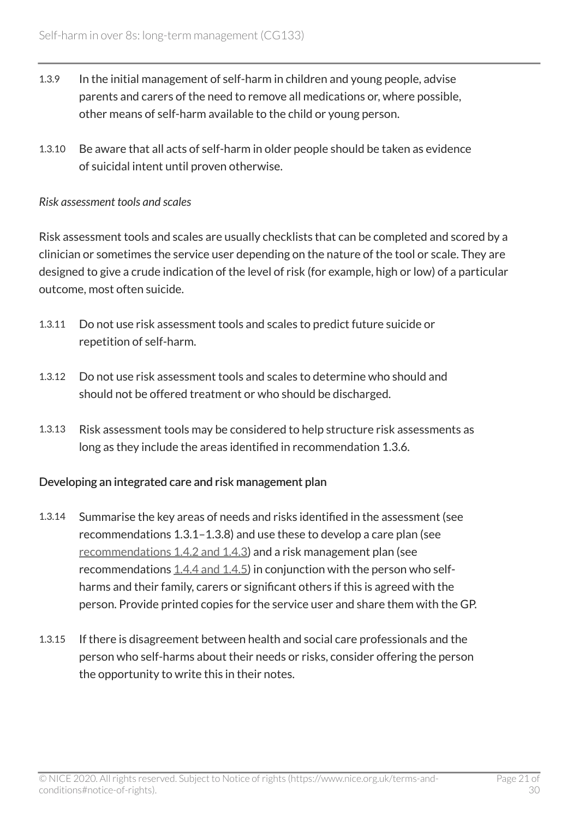- 1.3.9 In the initial management of self-harm in children and young people, advise parents and carers of the need to remove all medications or, where possible, other means of self-harm available to the child or young person.
- 1.3.10 Be aware that all acts of self-harm in older people should be taken as evidence of suicidal intent until proven otherwise.

#### *Risk assessment tools and scales*

Risk assessment tools and scales are usually checklists that can be completed and scored by a clinician or sometimes the service user depending on the nature of the tool or scale. They are designed to give a crude indication of the level of risk (for example, high or low) of a particular outcome, most often suicide.

- 1.3.11 Do not use risk assessment tools and scales to predict future suicide or repetition of self-harm.
- 1.3.12 Do not use risk assessment tools and scales to determine who should and should not be offered treatment or who should be discharged.
- 1.3.13 Risk assessment tools may be considered to help structure risk assessments as long as they include the areas identified in recommendation 1.3.6.

#### Developing an integrated care and risk management plan

- 1.3.14 Summarise the key areas of needs and risks identified in the assessment (see recommendations 1.3.1–1.3.8) and use these to develop a care plan (see [recommendations 1.4.2 and 1.4.3\)](http://www.nice.org.uk/guidance/cg133/chapter/guidance#longer-term-treatment-and-management-of-self-harm) and a risk management plan (see recommendations  $1.4.4$  and  $1.4.5$ ) in conjunction with the person who selfharms and their family, carers or significant others if this is agreed with the person. Provide printed copies for the service user and share them with the GP.
- 1.3.15 If there is disagreement between health and social care professionals and the person who self-harms about their needs or risks, consider offering the person the opportunity to write this in their notes.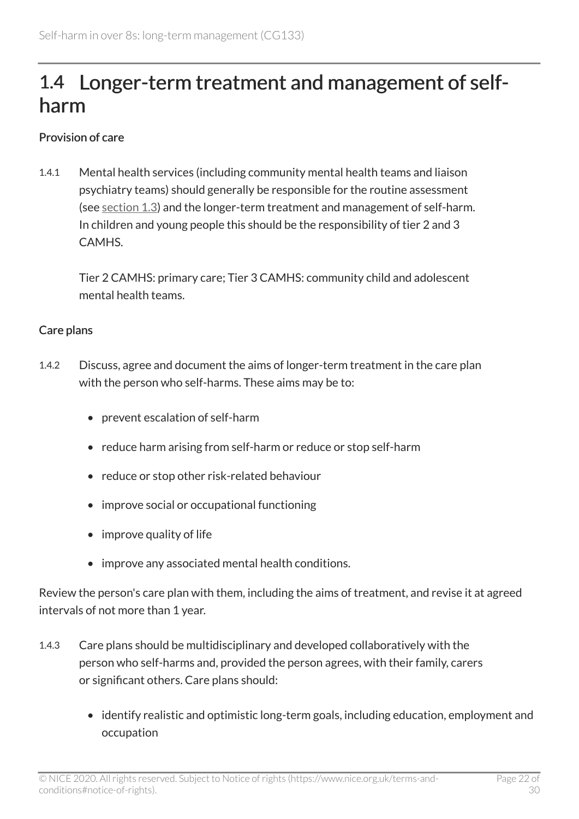### <span id="page-21-0"></span>1.4 Longer-term treatment and management of selfharm

#### Provision of care

1.4.1 Mental health services (including community mental health teams and liaison psychiatry teams) should generally be responsible for the routine assessment (see [section 1.3\)](http://www.nice.org.uk/guidance/cg133/chapter/guidance#psychosocial-assessment-in-community-mental-health-services-and-other-specialist-mental-health) and the longer-term treatment and management of self-harm. In children and young people this should be the responsibility of tier 2 and 3 CAMHS.

Tier 2 CAMHS: primary care; Tier 3 CAMHS: community child and adolescent mental health teams.

#### Care plans

- 1.4.2 Discuss, agree and document the aims of longer-term treatment in the care plan with the person who self-harms. These aims may be to:
	- prevent escalation of self-harm
	- reduce harm arising from self-harm or reduce or stop self-harm
	- reduce or stop other risk-related behaviour
	- improve social or occupational functioning
	- improve quality of life
	- improve any associated mental health conditions.

Review the person's care plan with them, including the aims of treatment, and revise it at agreed intervals of not more than 1 year.

- 1.4.3 Care plans should be multidisciplinary and developed collaboratively with the person who self-harms and, provided the person agrees, with their family, carers or significant others. Care plans should:
	- identify realistic and optimistic long-term goals, including education, employment and occupation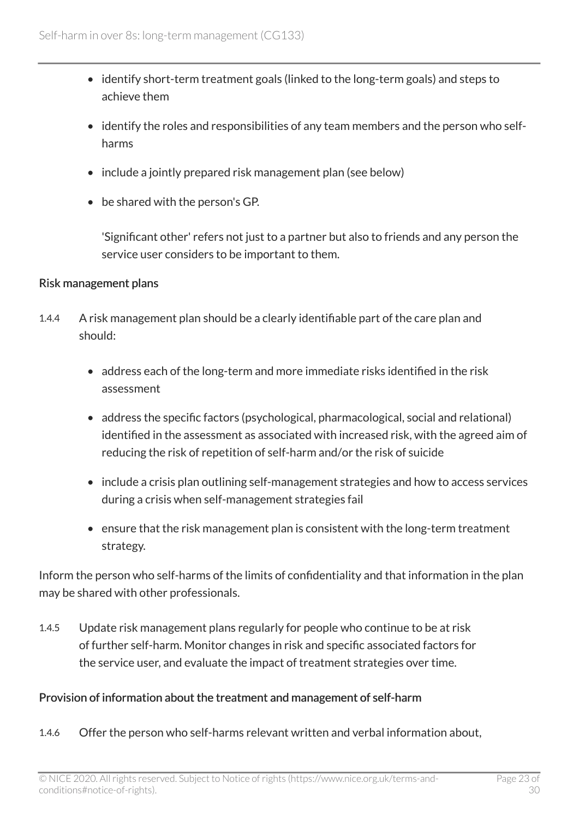- identify short-term treatment goals (linked to the long-term goals) and steps to achieve them
- identify the roles and responsibilities of any team members and the person who selfharms
- include a jointly prepared risk management plan (see below)
- be shared with the person's GP.

'Significant other' refers not just to a partner but also to friends and any person the service user considers to be important to them.

#### Risk management plans

- 1.4.4 A risk management plan should be a clearly identifiable part of the care plan and should:
	- address each of the long-term and more immediate risks identified in the risk assessment
	- address the specific factors (psychological, pharmacological, social and relational) identified in the assessment as associated with increased risk, with the agreed aim of reducing the risk of repetition of self-harm and/or the risk of suicide
	- include a crisis plan outlining self-management strategies and how to access services during a crisis when self-management strategies fail
	- ensure that the risk management plan is consistent with the long-term treatment strategy.

Inform the person who self-harms of the limits of confidentiality and that information in the plan may be shared with other professionals.

1.4.5 Update risk management plans regularly for people who continue to be at risk of further self-harm. Monitor changes in risk and specific associated factors for the service user, and evaluate the impact of treatment strategies over time.

#### Provision of information about the treatment and management of self-harm

1.4.6 Offer the person who self-harms relevant written and verbal information about,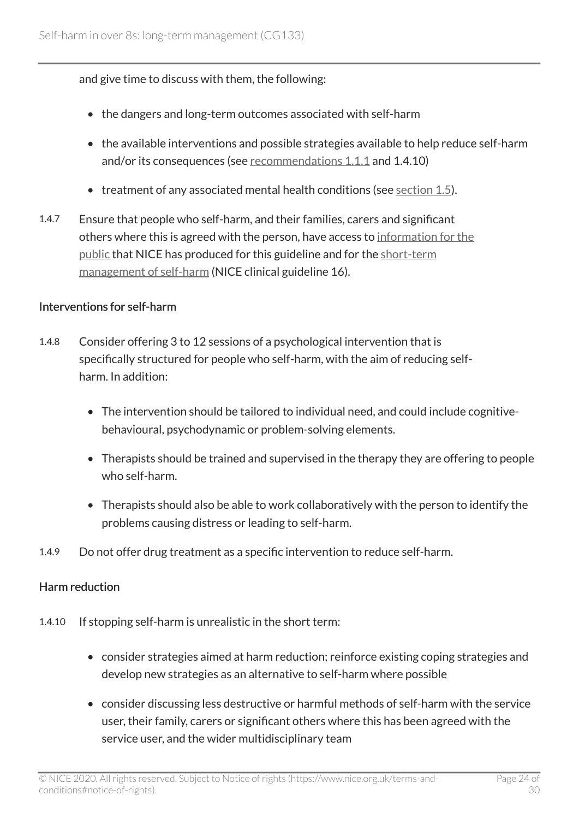and give time to discuss with them, the following:

- the dangers and long-term outcomes associated with self-harm
- the available interventions and possible strategies available to help reduce self-harm and/or its consequences (see [recommendations 1.1.1](http://www.nice.org.uk/guidance/cg133/chapter/guidance#general-principles-of-care) and 1.4.10)
- treatment of any associated mental health conditions (see [section 1.5](http://www.nice.org.uk/guidance/cg133/chapter/guidance#treating-associated-mental-health-conditions)).
- 1.4.7 Ensure that people who self-harm, and their families, carers and significant others where this is agreed with the person, have access to [information for the](http://www.nice.org.uk/guidance/cg133/informationforpublic)  [public](http://www.nice.org.uk/guidance/cg133/informationforpublic) that NICE has produced for this guideline and for the [short-term](http://www.nice.org.uk/guidance/CG16/InformationForPublic) [management of self-harm](http://www.nice.org.uk/guidance/CG16/InformationForPublic) (NICE clinical guideline 16).

#### Interventions for self-harm

- 1.4.8 Consider offering 3 to 12 sessions of a psychological intervention that is specifically structured for people who self-harm, with the aim of reducing selfharm. In addition:
	- The intervention should be tailored to individual need, and could include cognitivebehavioural, psychodynamic or problem-solving elements.
	- Therapists should be trained and supervised in the therapy they are offering to people who self-harm.
	- Therapists should also be able to work collaboratively with the person to identify the problems causing distress or leading to self-harm.
- 1.4.9 Do not offer drug treatment as a specific intervention to reduce self-harm.

#### Harm reduction

- 1.4.10 If stopping self-harm is unrealistic in the short term:
	- consider strategies aimed at harm reduction; reinforce existing coping strategies and develop new strategies as an alternative to self-harm where possible
	- consider discussing less destructive or harmful methods of self-harm with the service user, their family, carers or significant others where this has been agreed with the service user, and the wider multidisciplinary team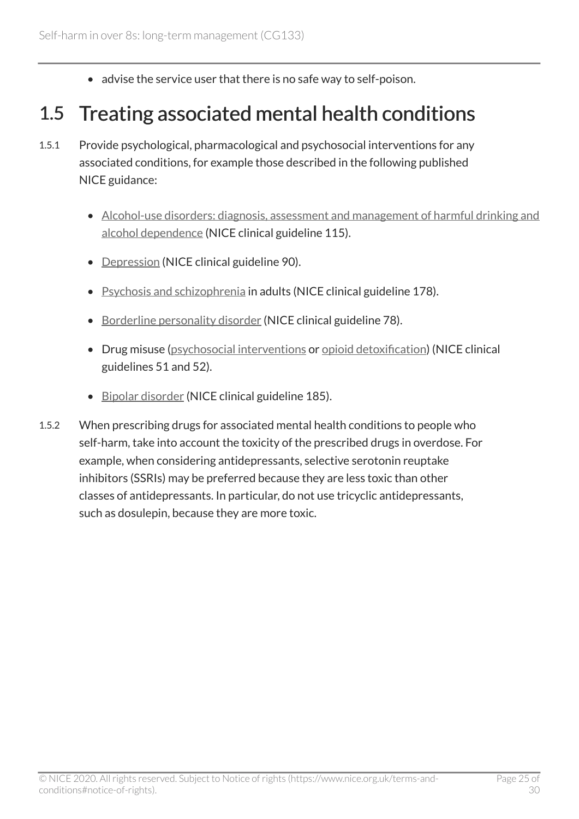• advise the service user that there is no safe way to self-poison.

### <span id="page-24-0"></span>1.5 Treating associated mental health conditions

- 1.5.1 Provide psychological, pharmacological and psychosocial interventions for any associated conditions, for example those described in the following published NICE guidance:
	- [Alcohol-use disorders: diagnosis, assessment and management of harmful drinking and](https://www.nice.org.uk/guidance/cg115)  [alcohol dependence](https://www.nice.org.uk/guidance/cg115) (NICE clinical guideline 115).
	- [Depression](https://www.nice.org.uk/guidance/cg90) (NICE clinical guideline 90).
	- [Psychosis and schizophrenia](https://www.nice.org.uk/guidance/cg178) in adults (NICE clinical guideline 178).
	- [Borderline personality disorder](https://www.nice.org.uk/guidance/cg78) (NICE clinical guideline 78).
	- Drug misuse ([psychosocial interventions](https://www.nice.org.uk/guidance/cg51) or [opioid detoxification\)](https://www.nice.org.uk/guidance/cg52) (NICE clinical guidelines 51 and 52).
	- [Bipolar disorder](https://www.nice.org.uk/guidance/cg185) (NICE clinical guideline 185).
- 1.5.2 When prescribing drugs for associated mental health conditions to people who self-harm, take into account the toxicity of the prescribed drugs in overdose. For example, when considering antidepressants, selective serotonin reuptake inhibitors (SSRIs) may be preferred because they are less toxic than other classes of antidepressants. In particular, do not use tricyclic antidepressants, such as dosulepin, because they are more toxic.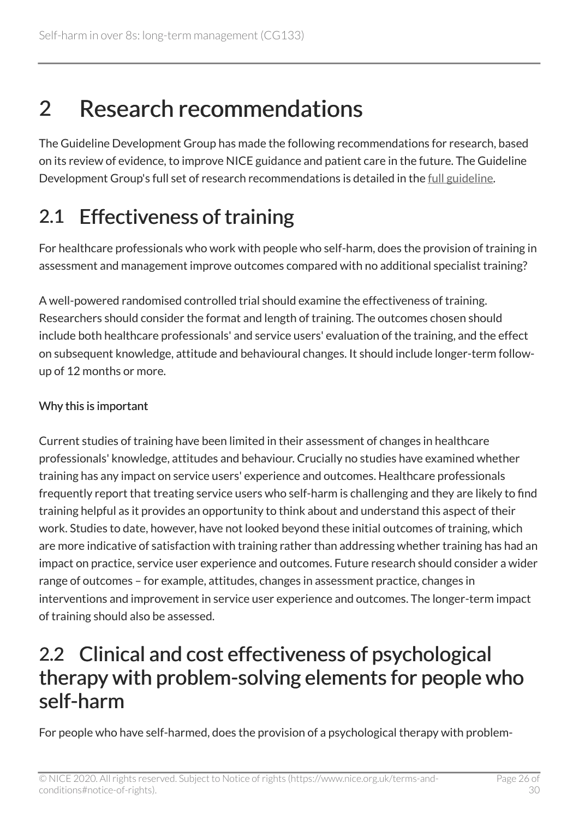# <span id="page-25-0"></span>2 Research recommendations

The Guideline Development Group has made the following recommendations for research, based on its review of evidence, to improve NICE guidance and patient care in the future. The Guideline Development Group's full set of research recommendations is detailed in the [full guideline](https://www.nice.org.uk/guidance/cg133/evidence).

### <span id="page-25-1"></span>2.1 Effectiveness of training

For healthcare professionals who work with people who self-harm, does the provision of training in assessment and management improve outcomes compared with no additional specialist training?

A well-powered randomised controlled trial should examine the effectiveness of training. Researchers should consider the format and length of training. The outcomes chosen should include both healthcare professionals' and service users' evaluation of the training, and the effect on subsequent knowledge, attitude and behavioural changes. It should include longer-term followup of 12 months or more.

#### Why this is important

Current studies of training have been limited in their assessment of changes in healthcare professionals' knowledge, attitudes and behaviour. Crucially no studies have examined whether training has any impact on service users' experience and outcomes. Healthcare professionals frequently report that treating service users who self-harm is challenging and they are likely to find training helpful as it provides an opportunity to think about and understand this aspect of their work. Studies to date, however, have not looked beyond these initial outcomes of training, which are more indicative of satisfaction with training rather than addressing whether training has had an impact on practice, service user experience and outcomes. Future research should consider a wider range of outcomes – for example, attitudes, changes in assessment practice, changes in interventions and improvement in service user experience and outcomes. The longer-term impact of training should also be assessed.

### <span id="page-25-2"></span>2.2 Clinical and cost effectiveness of psychological therapy with problem-solving elements for people who self-harm

For people who have self-harmed, does the provision of a psychological therapy with problem-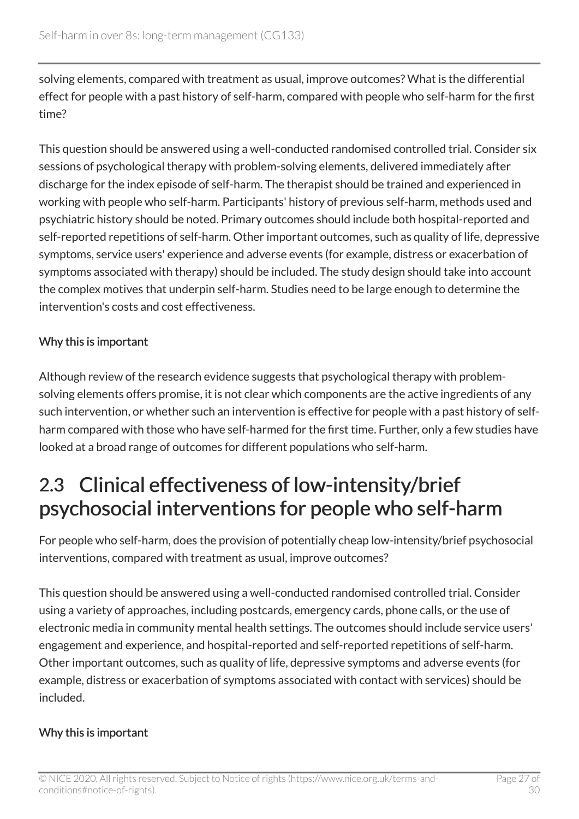solving elements, compared with treatment as usual, improve outcomes? What is the differential effect for people with a past history of self-harm, compared with people who self-harm for the first time?

This question should be answered using a well-conducted randomised controlled trial. Consider six sessions of psychological therapy with problem-solving elements, delivered immediately after discharge for the index episode of self-harm. The therapist should be trained and experienced in working with people who self-harm. Participants' history of previous self-harm, methods used and psychiatric history should be noted. Primary outcomes should include both hospital-reported and self-reported repetitions of self-harm. Other important outcomes, such as quality of life, depressive symptoms, service users' experience and adverse events (for example, distress or exacerbation of symptoms associated with therapy) should be included. The study design should take into account the complex motives that underpin self-harm. Studies need to be large enough to determine the intervention's costs and cost effectiveness.

#### Why this is important

Although review of the research evidence suggests that psychological therapy with problemsolving elements offers promise, it is not clear which components are the active ingredients of any such intervention, or whether such an intervention is effective for people with a past history of selfharm compared with those who have self-harmed for the first time. Further, only a few studies have looked at a broad range of outcomes for different populations who self-harm.

### <span id="page-26-0"></span>2.3 Clinical effectiveness of low-intensity/brief psychosocial interventions for people who self-harm

For people who self-harm, does the provision of potentially cheap low-intensity/brief psychosocial interventions, compared with treatment as usual, improve outcomes?

This question should be answered using a well-conducted randomised controlled trial. Consider using a variety of approaches, including postcards, emergency cards, phone calls, or the use of electronic media in community mental health settings. The outcomes should include service users' engagement and experience, and hospital-reported and self-reported repetitions of self-harm. Other important outcomes, such as quality of life, depressive symptoms and adverse events (for example, distress or exacerbation of symptoms associated with contact with services) should be included.

#### Why this is important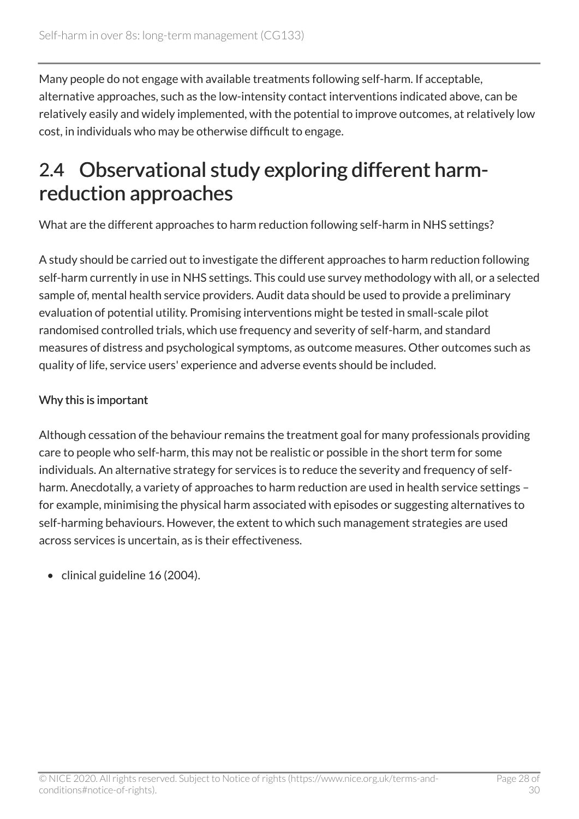Many people do not engage with available treatments following self-harm. If acceptable, alternative approaches, such as the low-intensity contact interventions indicated above, can be relatively easily and widely implemented, with the potential to improve outcomes, at relatively low cost, in individuals who may be otherwise difficult to engage.

### <span id="page-27-0"></span>2.4 Observational study exploring different harmreduction approaches

What are the different approaches to harm reduction following self-harm in NHS settings?

A study should be carried out to investigate the different approaches to harm reduction following self-harm currently in use in NHS settings. This could use survey methodology with all, or a selected sample of, mental health service providers. Audit data should be used to provide a preliminary evaluation of potential utility. Promising interventions might be tested in small-scale pilot randomised controlled trials, which use frequency and severity of self-harm, and standard measures of distress and psychological symptoms, as outcome measures. Other outcomes such as quality of life, service users' experience and adverse events should be included.

#### Why this is important

Although cessation of the behaviour remains the treatment goal for many professionals providing care to people who self-harm, this may not be realistic or possible in the short term for some individuals. An alternative strategy for services is to reduce the severity and frequency of selfharm. Anecdotally, a variety of approaches to harm reduction are used in health service settings for example, minimising the physical harm associated with episodes or suggesting alternatives to self-harming behaviours. However, the extent to which such management strategies are used across services is uncertain, as is their effectiveness.

• clinical guideline 16 (2004).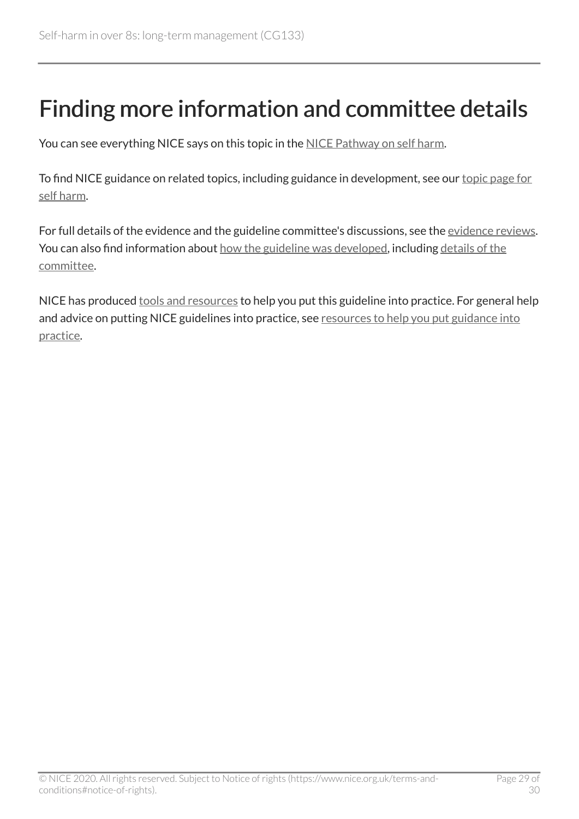# <span id="page-28-0"></span>Finding more information and committee details

You can see everything NICE says on this topic in the [NICE Pathway on self harm.](https://pathways.nice.org.uk/pathways/self-harm)

To find NICE guidance on related topics, including guidance in development, see our [topic page for](https://www.nice.org.uk/guidance/conditions-and-diseases/mental-health-and-behavioural-conditions/self-harm)  [self harm](https://www.nice.org.uk/guidance/conditions-and-diseases/mental-health-and-behavioural-conditions/self-harm).

For full details of the evidence and the guideline committee's discussions, see the [evidence reviews.](https://www.nice.org.uk/Guidance/CG133/evidence) You can also find information about [how the guideline was developed](https://www.nice.org.uk/Guidance/CG133/documents), including details of the [committee.](https://www.nice.org.uk/guidance/CG133/documents/committee-member-list-2)

NICE has produced [tools and resources](https://www.nice.org.uk/guidance/cg133/resources) to help you put this guideline into practice. For general help and advice on putting NICE guidelines into practice, see resources to help you put guidance into [practice](https://www.nice.org.uk/about/what-we-do/into-practice/resources-help-put-guidance-into-practice).